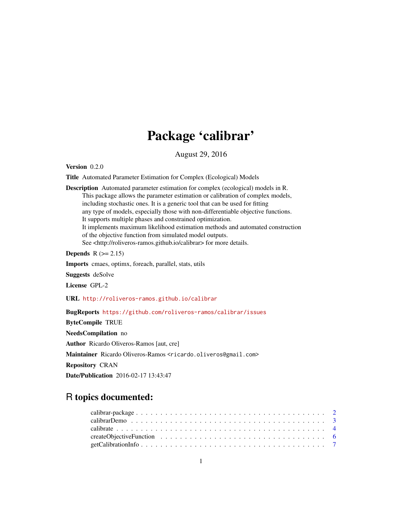# Package 'calibrar'

August 29, 2016

Version 0.2.0

Title Automated Parameter Estimation for Complex (Ecological) Models

Description Automated parameter estimation for complex (ecological) models in R. This package allows the parameter estimation or calibration of complex models, including stochastic ones. It is a generic tool that can be used for fitting any type of models, especially those with non-differentiable objective functions. It supports multiple phases and constrained optimization. It implements maximum likelihood estimation methods and automated construction of the objective function from simulated model outputs. See <http://roliveros-ramos.github.io/calibrar> for more details.

Depends  $R (= 2.15)$ 

Imports cmaes, optimx, foreach, parallel, stats, utils

Suggests deSolve

License GPL-2

URL <http://roliveros-ramos.github.io/calibrar>

BugReports <https://github.com/roliveros-ramos/calibrar/issues>

ByteCompile TRUE

NeedsCompilation no

Author Ricardo Oliveros-Ramos [aut, cre]

Maintainer Ricardo Oliveros-Ramos <ricardo.oliveros@gmail.com>

Repository CRAN

Date/Publication 2016-02-17 13:43:47

# R topics documented: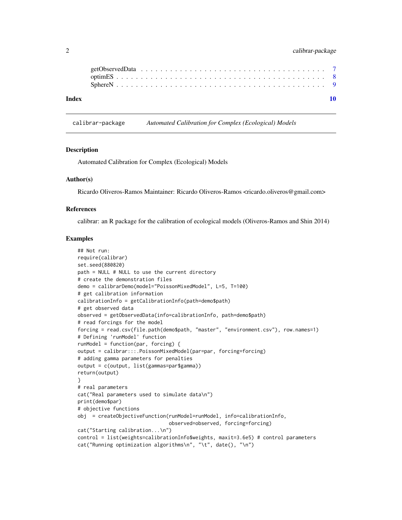# <span id="page-1-0"></span>2 calibrar-package

| Index |  |  |  |  |  |  |  |  |  |  |  |  |  |  |  |  |  |  |  |
|-------|--|--|--|--|--|--|--|--|--|--|--|--|--|--|--|--|--|--|--|

calibrar-package *Automated Calibration for Complex (Ecological) Models*

#### Description

Automated Calibration for Complex (Ecological) Models

#### Author(s)

Ricardo Oliveros-Ramos Maintainer: Ricardo Oliveros-Ramos <ricardo.oliveros@gmail.com>

#### References

calibrar: an R package for the calibration of ecological models (Oliveros-Ramos and Shin 2014)

#### Examples

```
## Not run:
require(calibrar)
set.seed(880820)
path = NULL # NULL to use the current directory
# create the demonstration files
demo = calibrarDemo(model="PoissonMixedModel", L=5, T=100)
# get calibration information
calibrationInfo = getCalibrationInfo(path=demo$path)
# get observed data
observed = getObservedData(info=calibrationInfo, path=demo$path)
# read forcings for the model
forcing = read.csv(file.path(demo$path, "master", "environment.csv"), row.names=1)
# Defining 'runModel' function
runModel = function(par, forcing) {
output = calibrar:::.PoissonMixedModel(par=par, forcing=forcing)
# adding gamma parameters for penalties
output = c(output, list(gammas=par$gamma))
return(output)
}
# real parameters
cat("Real parameters used to simulate data\n")
print(demo$par)
# objective functions
obj = createObjectiveFunction(runModel=runModel, info=calibrationInfo,
                               observed=observed, forcing=forcing)
cat("Starting calibration...\n")
control = list(weights=calibrationInfo$weights, maxit=3.6e5) # control parameters
cat("Running optimization algorithms\n", "\t", date(), "\n")
```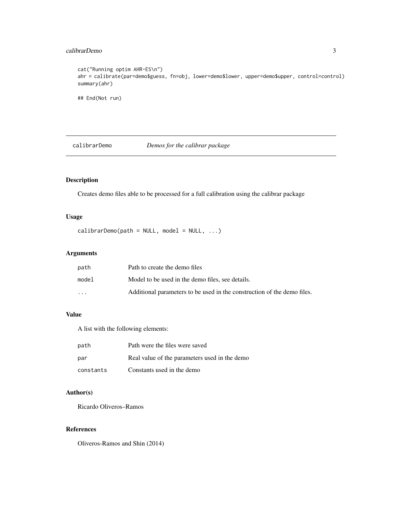#### <span id="page-2-0"></span>calibrarDemo 3

```
cat("Running optim AHR-ES\n")
ahr = calibrate(par=demo$guess, fn=obj, lower=demo$lower, upper=demo$upper, control=control)
summary(ahr)
## End(Not run)
```
calibrarDemo *Demos for the calibrar package*

# Description

Creates demo files able to be processed for a full calibration using the calibrar package

## Usage

 $cali$  is the model = NULL, model = NULL, ...)

#### Arguments

| path     | Path to create the demo files                                           |
|----------|-------------------------------------------------------------------------|
| model    | Model to be used in the demo files, see details.                        |
| $\cdots$ | Additional parameters to be used in the construction of the demo files. |

# Value

A list with the following elements:

| path      | Path were the files were saved                |
|-----------|-----------------------------------------------|
| par       | Real value of the parameters used in the demo |
| constants | Constants used in the demo                    |

# Author(s)

Ricardo Oliveros–Ramos

#### References

Oliveros-Ramos and Shin (2014)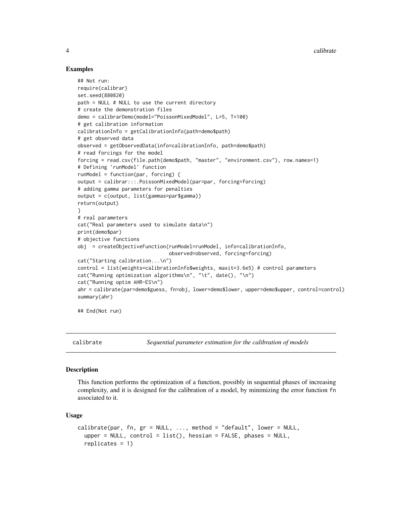#### Examples

```
## Not run:
require(calibrar)
set.seed(880820)
path = NULL # NULL to use the current directory
# create the demonstration files
demo = calibrarDemo(model="PoissonMixedModel", L=5, T=100)
# get calibration information
calibrationInfo = getCalibrationInfo(path=demo$path)
# get observed data
observed = getObservedData(info=calibrationInfo, path=demo$path)
# read forcings for the model
forcing = read.csv(file.path(demo$path, "master", "environment.csv"), row.names=1)
# Defining 'runModel' function
runModel = function(par, forcing) {
output = calibrar:::.PoissonMixedModel(par=par, forcing=forcing)
# adding gamma parameters for penalties
output = c(output, list(gammas=par$gamma))
return(output)
}
# real parameters
cat("Real parameters used to simulate data\n")
print(demo$par)
# objective functions
obj = createObjectiveFunction(runModel=runModel, info=calibrationInfo,
                               observed=observed, forcing=forcing)
cat("Starting calibration...\n")
control = list(weights=calibrationInfo$weights, maxit=3.6e5) # control parameters
cat("Running optimization algorithms\n", "\t", date(), "\n")
cat("Running optim AHR-ES\n")
ahr = calibrate(par=demo$guess, fn=obj, lower=demo$lower, upper=demo$upper, control=control)
summary(ahr)
```
## End(Not run)

calibrate *Sequential parameter estimation for the calibration of models*

#### **Description**

This function performs the optimization of a function, possibly in sequential phases of increasing complexity, and it is designed for the calibration of a model, by minimizing the error function fn associated to it.

#### Usage

```
calibrate(par, fn, gr = NULL, ..., method = "default", lower = NULL,
  upper = NULL, control = list(), hessian = FALSE, phases = NULL,
  replicates = 1)
```
<span id="page-3-0"></span>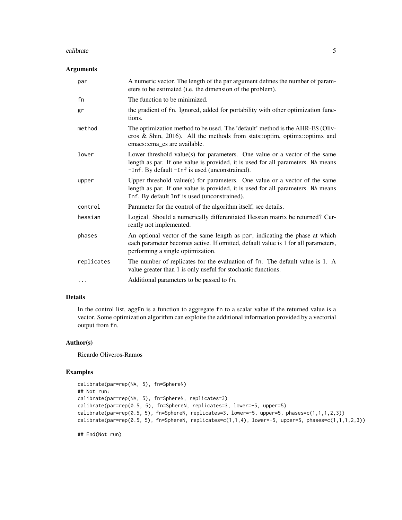#### calibrate 5 and 5 and 5 and 5 and 5 and 5 and 5 and 5 and 5 and 5 and 5 and 5 and 5 and 5 and 5 and 5 and 5 and 5 and 5 and 5 and 5 and 5 and 5 and 5 and 5 and 5 and 5 and 5 and 5 and 5 and 5 and 5 and 5 and 5 and 5 and 5

#### Arguments

| par        | A numeric vector. The length of the par argument defines the number of param-<br>eters to be estimated (i.e. the dimension of the problem).                                                                      |
|------------|------------------------------------------------------------------------------------------------------------------------------------------------------------------------------------------------------------------|
| fn         | The function to be minimized.                                                                                                                                                                                    |
| gr         | the gradient of fn. Ignored, added for portability with other optimization func-<br>tions.                                                                                                                       |
| method     | The optimization method to be used. The 'default' method is the AHR-ES (Oliv-<br>eros & Shin, 2016). All the methods from stats::optim, optimx::optimx and<br>cmaes::cma_es are available.                       |
| lower      | Lower threshold value(s) for parameters. One value or a vector of the same<br>length as par. If one value is provided, it is used for all parameters. NA means<br>-Inf. By default -Inf is used (unconstrained). |
| upper      | Upper threshold value(s) for parameters. One value or a vector of the same<br>length as par. If one value is provided, it is used for all parameters. NA means<br>Inf. By default Inf is used (unconstrained).   |
| control    | Parameter for the control of the algorithm itself, see details.                                                                                                                                                  |
| hessian    | Logical. Should a numerically differentiated Hessian matrix be returned? Cur-<br>rently not implemented.                                                                                                         |
| phases     | An optional vector of the same length as par, indicating the phase at which<br>each parameter becomes active. If omitted, default value is 1 for all parameters,<br>performing a single optimization.            |
| replicates | The number of replicates for the evaluation of fn. The default value is 1. A<br>value greater than 1 is only useful for stochastic functions.                                                                    |
| $\cdots$   | Additional parameters to be passed to fn.                                                                                                                                                                        |

# Details

In the control list, aggFn is a function to aggregate fn to a scalar value if the returned value is a vector. Some optimization algorithm can exploite the additional information provided by a vectorial output from fn.

#### Author(s)

Ricardo Oliveros-Ramos

#### Examples

```
calibrate(par=rep(NA, 5), fn=SphereN)
## Not run:
calibrate(par=rep(NA, 5), fn=SphereN, replicates=3)
calibrate(par=rep(0.5, 5), fn=SphereN, replicates=3, lower=-5, upper=5)
calibrate(par=rep(0.5, 5), fn=SphereN, replicates=3, lower=-5, upper=5, phases=c(1,1,1,2,3))
calibrate(par=rep(0.5, 5), fn=SphereN, replicates=c(1,1,4), lower=-5, upper=5, phases=c(1,1,1,2,3))
```
## End(Not run)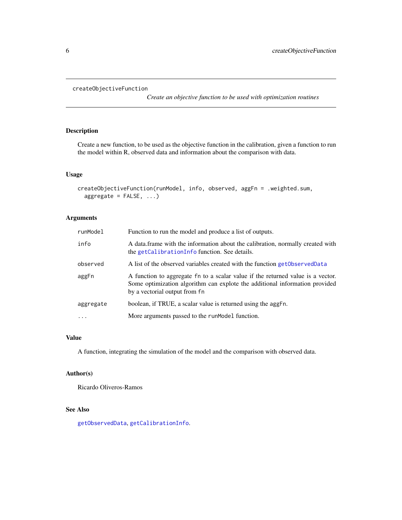```
createObjectiveFunction
```
*Create an objective function to be used with optimization routines*

# Description

Create a new function, to be used as the objective function in the calibration, given a function to run the model within R, observed data and information about the comparison with data.

#### Usage

```
createObjectiveFunction(runModel, info, observed, aggFn = .weighted.sum,
  aggregate = FALSE, ...)
```
# Arguments

| runModel  | Function to run the model and produce a list of outputs.                                                                                                                                        |
|-----------|-------------------------------------------------------------------------------------------------------------------------------------------------------------------------------------------------|
| info      | A data frame with the information about the calibration, normally created with<br>the getCalibrationInfo function. See details.                                                                 |
| observed  | A list of the observed variables created with the function get Observed Data                                                                                                                    |
| aggFn     | A function to aggregate fn to a scalar value if the returned value is a vector.<br>Some optimization algorithm can explote the additional information provided<br>by a vectorial output from fn |
| aggregate | boolean, if TRUE, a scalar value is returned using the aggFn.                                                                                                                                   |
| $\ddotsc$ | More arguments passed to the runModel function.                                                                                                                                                 |

#### Value

A function, integrating the simulation of the model and the comparison with observed data.

#### Author(s)

Ricardo Oliveros-Ramos

#### See Also

[getObservedData](#page-6-2), [getCalibrationInfo](#page-6-1).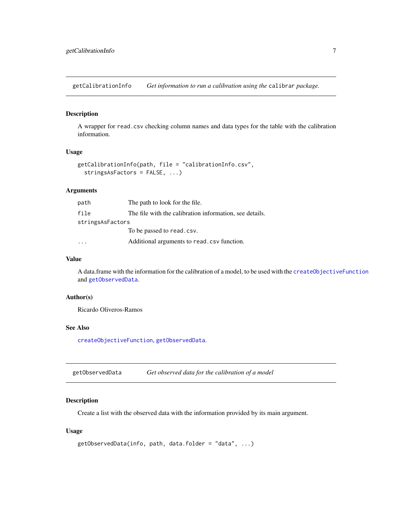<span id="page-6-1"></span><span id="page-6-0"></span>getCalibrationInfo *Get information to run a calibration using the* calibrar *package.*

#### Description

A wrapper for read.csv checking column names and data types for the table with the calibration information.

# Usage

```
getCalibrationInfo(path, file = "calibrationInfo.csv",
  stringsAsFactors = FALSE, ...)
```
#### Arguments

| path             | The path to look for the file.                          |
|------------------|---------------------------------------------------------|
| file             | The file with the calibration information, see details. |
| stringsAsFactors |                                                         |
|                  | To be passed to read.csv.                               |
|                  | Additional arguments to read.csv function.              |

#### Value

A data.frame with the information for the calibration of a model, to be used with the [createObjectiveFunction](#page-5-1) and [getObservedData](#page-6-2).

# Author(s)

Ricardo Oliveros-Ramos

#### See Also

[createObjectiveFunction](#page-5-1), [getObservedData](#page-6-2).

<span id="page-6-2"></span>getObservedData *Get observed data for the calibration of a model*

# Description

Create a list with the observed data with the information provided by its main argument.

#### Usage

```
getObservedData(info, path, data.folder = "data", ...)
```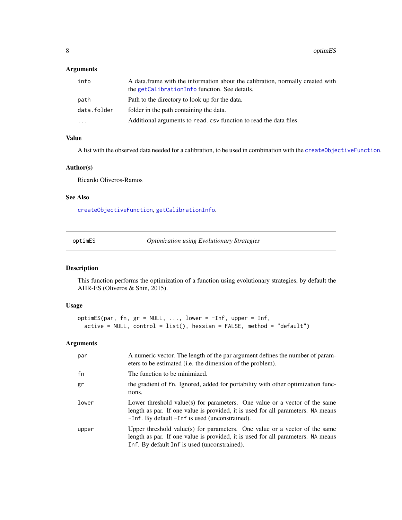# <span id="page-7-0"></span>Arguments

| info        | A data frame with the information about the calibration, normally created with<br>the getCalibrationInfo function. See details. |
|-------------|---------------------------------------------------------------------------------------------------------------------------------|
| path        | Path to the directory to look up for the data.                                                                                  |
| data.folder | folder in the path containing the data.                                                                                         |
| $\cdots$    | Additional arguments to read. csv function to read the data files.                                                              |

#### Value

A list with the observed data needed for a calibration, to be used in combination with the [createObjectiveFunction](#page-5-1).

#### Author(s)

Ricardo Oliveros-Ramos

#### See Also

[createObjectiveFunction](#page-5-1), [getCalibrationInfo](#page-6-1).

| optimES |  | <b>Optimization using Evolutionary Strategies</b> |  |
|---------|--|---------------------------------------------------|--|
|         |  |                                                   |  |

#### Description

This function performs the optimization of a function using evolutionary strategies, by default the AHR-ES (Oliveros & Shin, 2015).

#### Usage

```
optimES(par, fn, gr = NULL, ..., lower = -Inf, upper = Inf,
 active = NULL, control = list(), hessian = FALSE, method = "default")
```
# Arguments

| par   | A numeric vector. The length of the par argument defines the number of param-<br>eters to be estimated (i.e. the dimension of the problem).                                                                      |
|-------|------------------------------------------------------------------------------------------------------------------------------------------------------------------------------------------------------------------|
| fn    | The function to be minimized.                                                                                                                                                                                    |
| gr    | the gradient of fn. Ignored, added for portability with other optimization func-<br>tions.                                                                                                                       |
| lower | Lower threshold value(s) for parameters. One value or a vector of the same<br>length as par. If one value is provided, it is used for all parameters. NA means<br>-Inf. By default -Inf is used (unconstrained). |
| upper | Upper threshold value(s) for parameters. One value or a vector of the same<br>length as par. If one value is provided, it is used for all parameters. NA means<br>Inf. By default Inf is used (unconstrained).   |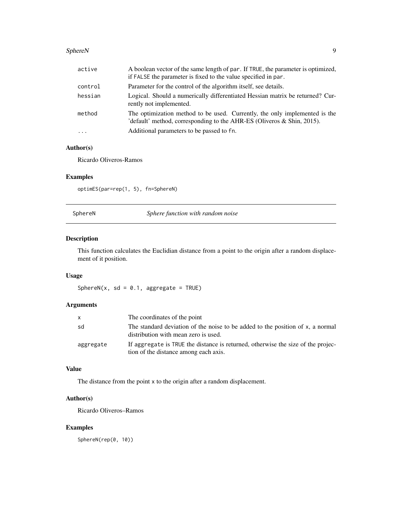#### <span id="page-8-0"></span>SphereN 99

| active  | A boolean vector of the same length of par. If TRUE, the parameter is optimized,<br>if FALSE the parameter is fixed to the value specified in par.      |
|---------|---------------------------------------------------------------------------------------------------------------------------------------------------------|
| control | Parameter for the control of the algorithm itself, see details.                                                                                         |
| hessian | Logical. Should a numerically differentiated Hessian matrix be returned? Cur-<br>rently not implemented.                                                |
| method  | The optimization method to be used. Currently, the only implemented is the<br>'default' method, corresponding to the AHR-ES (Oliveros $\&$ Shin, 2015). |
| $\cdot$ | Additional parameters to be passed to fn.                                                                                                               |

# Author(s)

Ricardo Oliveros-Ramos

#### Examples

optimES(par=rep(1, 5), fn=SphereN)

SphereN *Sphere function with random noise*

# Description

This function calculates the Euclidian distance from a point to the origin after a random displacement of it position.

# Usage

SphereN(x, sd =  $0.1$ , aggregate = TRUE)

# Arguments

| x.        | The coordinates of the point                                                                                              |
|-----------|---------------------------------------------------------------------------------------------------------------------------|
| sd        | The standard deviation of the noise to be added to the position of x, a normal<br>distribution with mean zero is used.    |
| aggregate | If aggregate is TRUE the distance is returned, otherwise the size of the projec-<br>tion of the distance among each axis. |

#### Value

The distance from the point x to the origin after a random displacement.

#### Author(s)

Ricardo Oliveros–Ramos

# Examples

SphereN(rep(0, 10))